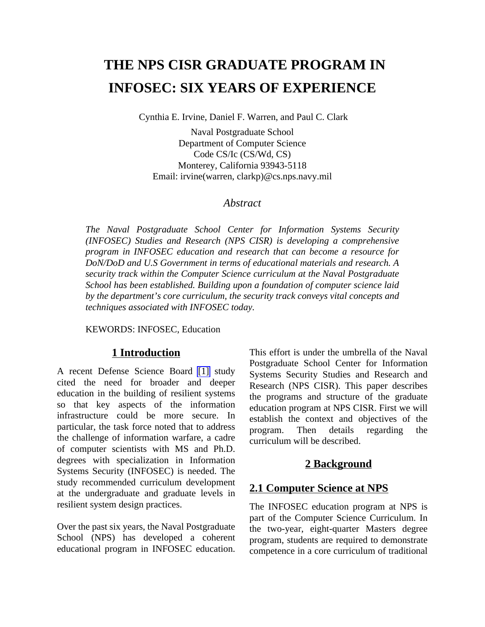# **THE NPS CISR GRADUATE PROGRAM IN INFOSEC: SIX YEARS OF EXPERIENCE**

Cynthia E. Irvine, Daniel F. Warren, and Paul C. Clark

Naval Postgraduate School Department of Computer Science Code CS/Ic (CS/Wd, CS) Monterey, California 93943-5118 Email: irvine(warren, clarkp)@cs.nps.navy.mil

#### *Abstract*

*The Naval Postgraduate School Center for Information Systems Security (INFOSEC) Studies and Research (NPS CISR) is developing a comprehensive program in INFOSEC education and research that can become a resource for DoN/DoD and U.S Government in terms of educational materials and research. A security track within the Computer Science curriculum at the Naval Postgraduate School has been established. Building upon a foundation of computer science laid by the department's core curriculum, the security track conveys vital concepts and techniques associated with INFOSEC today.*

KEWORDS: INFOSEC, Education

#### **1 Introduction**

A recent Defense Science Board [\[1\]](#page-6-0) study cited the need for broader and deeper education in the building of resilient systems so that key aspects of the information infrastructure could be more secure. In particular, the task force noted that to address the challenge of information warfare, a cadre of computer scientists with MS and Ph.D. degrees with specialization in Information Systems Security (INFOSEC) is needed. The study recommended curriculum development at the undergraduate and graduate levels in resilient system design practices.

Over the past six years, the Naval Postgraduate School (NPS) has developed a coherent educational program in INFOSEC education.

This effort is under the umbrella of the Naval Postgraduate School Center for Information Systems Security Studies and Research and Research (NPS CISR). This paper describes the programs and structure of the graduate education program at NPS CISR. First we will establish the context and objectives of the program. Then details regarding the curriculum will be described.

#### **2 Background**

#### **2.1 Computer Science at NPS**

The INFOSEC education program at NPS is part of the Computer Science Curriculum. In the two-year, eight-quarter Masters degree program, students are required to demonstrate competence in a core curriculum of traditional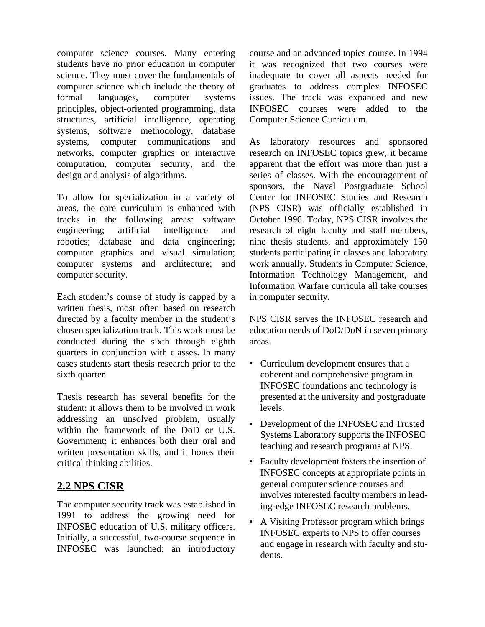computer science courses. Many entering students have no prior education in computer science. They must cover the fundamentals of computer science which include the theory of formal languages, computer systems principles, object-oriented programming, data structures, artificial intelligence, operating systems, software methodology, database systems, computer communications and networks, computer graphics or interactive computation, computer security, and the design and analysis of algorithms.

To allow for specialization in a variety of areas, the core curriculum is enhanced with tracks in the following areas: software engineering; artificial intelligence and robotics; database and data engineering; computer graphics and visual simulation; computer systems and architecture; and computer security.

Each student's course of study is capped by a written thesis, most often based on research directed by a faculty member in the student's chosen specialization track. This work must be conducted during the sixth through eighth quarters in conjunction with classes. In many cases students start thesis research prior to the sixth quarter.

Thesis research has several benefits for the student: it allows them to be involved in work addressing an unsolved problem, usually within the framework of the DoD or U.S. Government; it enhances both their oral and written presentation skills, and it hones their critical thinking abilities.

## **2.2 NPS CISR**

The computer security track was established in 1991 to address the growing need for INFOSEC education of U.S. military officers. Initially, a successful, two-course sequence in INFOSEC was launched: an introductory course and an advanced topics course. In 1994 it was recognized that two courses were inadequate to cover all aspects needed for graduates to address complex INFOSEC issues. The track was expanded and new INFOSEC courses were added to the Computer Science Curriculum.

As laboratory resources and sponsored research on INFOSEC topics grew, it became apparent that the effort was more than just a series of classes. With the encouragement of sponsors, the Naval Postgraduate School Center for INFOSEC Studies and Research (NPS CISR) was officially established in October 1996. Today, NPS CISR involves the research of eight faculty and staff members, nine thesis students, and approximately 150 students participating in classes and laboratory work annually. Students in Computer Science, Information Technology Management, and Information Warfare curricula all take courses in computer security.

NPS CISR serves the INFOSEC research and education needs of DoD/DoN in seven primary areas.

- Curriculum development ensures that a coherent and comprehensive program in INFOSEC foundations and technology is presented at the university and postgraduate levels.
- Development of the INFOSEC and Trusted Systems Laboratory supports the INFOSEC teaching and research programs at NPS.
- Faculty development fosters the insertion of INFOSEC concepts at appropriate points in general computer science courses and involves interested faculty members in leading-edge INFOSEC research problems.
- A Visiting Professor program which brings INFOSEC experts to NPS to offer courses and engage in research with faculty and students.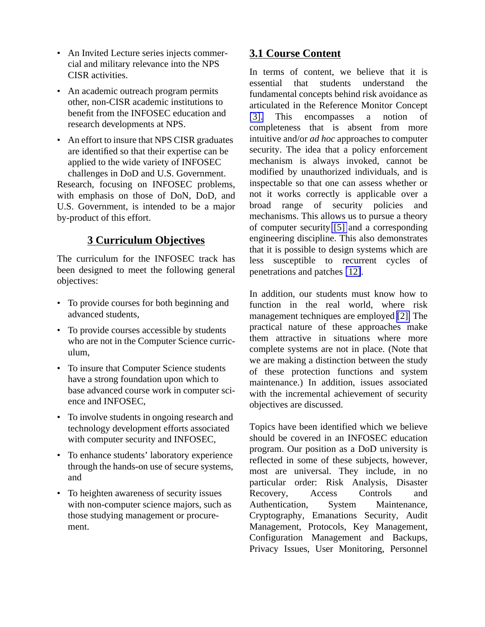- An Invited Lecture series injects commercial and military relevance into the NPS CISR activities.
- An academic outreach program permits other, non-CISR academic institutions to benefit from the INFOSEC education and research developments at NPS.
- An effort to insure that NPS CISR graduates are identified so that their expertise can be applied to the wide variety of INFOSEC challenges in DoD and U.S. Government. Research, focusing on INFOSEC problems, with emphasis on those of DoN, DoD, and U.S. Government, is intended to be a major by-product of this effort.

## **3 Curriculum Objectives**

The curriculum for the INFOSEC track has been designed to meet the following general objectives:

- To provide courses for both beginning and advanced students,
- To provide courses accessible by students who are not in the Computer Science curriculum,
- To insure that Computer Science students have a strong foundation upon which to base advanced course work in computer science and INFOSEC,
- To involve students in ongoing research and technology development efforts associated with computer security and INFOSEC,
- To enhance students' laboratory experience through the hands-on use of secure systems, and
- To heighten awareness of security issues with non-computer science majors, such as those studying management or procurement.

# **3.1 Course Content**

In terms of content, we believe that it is essential that students understand the fundamental concepts behind risk avoidance as articulated in the Reference Monitor Concept [\[3\].](#page-6-1) This encompasses a notion of completeness that is absent from more intuitive and/or *ad hoc* approaches to computer security. The idea that a policy enforcement mechanism is always invoked, cannot be modified by unauthorized individuals, and is inspectable so that one can assess whether or not it works correctly is applicable over a broad range of security policies and mechanisms. This allows us to pursue a theory of computer security [\[5\]](#page-7-0) and a corresponding engineering discipline. This also demonstrates that it is possible to design systems which are less susceptible to recurrent cycles of penetrations and patches [\[12\]](#page-7-0).

In addition, our students must know how to function in the real world, where risk management techniques are employed [\[2\].](#page-6-1) The practical nature of these approaches make them attractive in situations where more complete systems are not in place. (Note that we are making a distinction between the study of these protection functions and system maintenance.) In addition, issues associated with the incremental achievement of security objectives are discussed.

Topics have been identified which we believe should be covered in an INFOSEC education program. Our position as a DoD university is reflected in some of these subjects, however, most are universal. They include, in no particular order: Risk Analysis, Disaster Recovery, Access Controls and Authentication, System Maintenance, Cryptography, Emanations Security, Audit Management, Protocols, Key Management, Configuration Management and Backups, Privacy Issues, User Monitoring, Personnel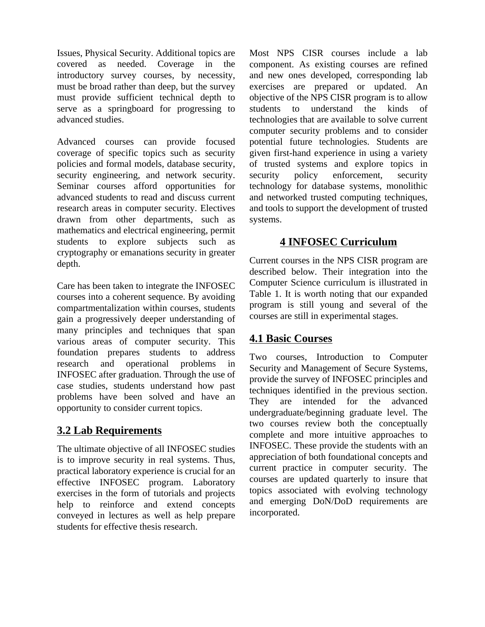Issues, Physical Security. Additional topics are covered as needed. Coverage in the introductory survey courses, by necessity, must be broad rather than deep, but the survey must provide sufficient technical depth to serve as a springboard for progressing to advanced studies.

Advanced courses can provide focused coverage of specific topics such as security policies and formal models, database security, security engineering, and network security. Seminar courses afford opportunities for advanced students to read and discuss current research areas in computer security. Electives drawn from other departments, such as mathematics and electrical engineering, permit students to explore subjects such as cryptography or emanations security in greater depth.

Care has been taken to integrate the INFOSEC courses into a coherent sequence. By avoiding compartmentalization within courses, students gain a progressively deeper understanding of many principles and techniques that span various areas of computer security. This foundation prepares students to address research and operational problems in INFOSEC after graduation. Through the use of case studies, students understand how past problems have been solved and have an opportunity to consider current topics.

## **3.2 Lab Requirements**

The ultimate objective of all INFOSEC studies is to improve security in real systems. Thus, practical laboratory experience is crucial for an effective INFOSEC program. Laboratory exercises in the form of tutorials and projects help to reinforce and extend concepts conveyed in lectures as well as help prepare students for effective thesis research.

Most NPS CISR courses include a lab component. As existing courses are refined and new ones developed, corresponding lab exercises are prepared or updated. An objective of the NPS CISR program is to allow students to understand the kinds of technologies that are available to solve current computer security problems and to consider potential future technologies. Students are given first-hand experience in using a variety of trusted systems and explore topics in security policy enforcement, security technology for database systems, monolithic and networked trusted computing techniques, and tools to support the development of trusted systems.

#### **4 INFOSEC Curriculum**

Current courses in the NPS CISR program are described below. Their integration into the Computer Science curriculum is illustrated in Table 1. It is worth noting that our expanded program is still young and several of the courses are still in experimental stages.

## **4.1 Basic Courses**

Two courses, Introduction to Computer Security and Management of Secure Systems, provide the survey of INFOSEC principles and techniques identified in the previous section. They are intended for the advanced undergraduate/beginning graduate level. The two courses review both the conceptually complete and more intuitive approaches to INFOSEC. These provide the students with an appreciation of both foundational concepts and current practice in computer security. The courses are updated quarterly to insure that topics associated with evolving technology and emerging DoN/DoD requirements are incorporated.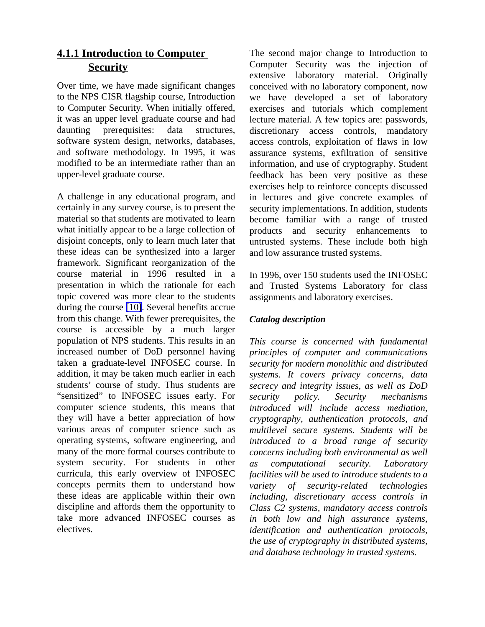# **4.1.1 Introduction to Computer Security**

Over time, we have made significant changes to the NPS CISR flagship course, Introduction to Computer Security. When initially offered, it was an upper level graduate course and had daunting prerequisites: data structures, software system design, networks, databases, and software methodology. In 1995, it was modified to be an intermediate rather than an upper-level graduate course.

A challenge in any educational program, and certainly in any survey course, is to present the material so that students are motivated to learn what initially appear to be a large collection of disjoint concepts, only to learn much later that these ideas can be synthesized into a larger framework. Significant reorganization of the course material in 1996 resulted in a presentation in which the rationale for each topic covered was more clear to the students during the course [\[10\].](#page-7-1) Several benefits accrue from this change. With fewer prerequisites, the course is accessible by a much larger population of NPS students. This results in an increased number of DoD personnel having taken a graduate-level INFOSEC course. In addition, it may be taken much earlier in each students' course of study. Thus students are "sensitized" to INFOSEC issues early. For computer science students, this means that they will have a better appreciation of how various areas of computer science such as operating systems, software engineering, and many of the more formal courses contribute to system security. For students in other curricula, this early overview of INFOSEC concepts permits them to understand how these ideas are applicable within their own discipline and affords them the opportunity to take more advanced INFOSEC courses as electives.

The second major change to Introduction to Computer Security was the injection of extensive laboratory material. Originally conceived with no laboratory component, now we have developed a set of laboratory exercises and tutorials which complement lecture material. A few topics are: passwords, discretionary access controls, mandatory access controls, exploitation of flaws in low assurance systems, exfiltration of sensitive information, and use of cryptography. Student feedback has been very positive as these exercises help to reinforce concepts discussed in lectures and give concrete examples of security implementations. In addition, students become familiar with a range of trusted products and security enhancements to untrusted systems. These include both high and low assurance trusted systems.

In 1996, over 150 students used the INFOSEC and Trusted Systems Laboratory for class assignments and laboratory exercises.

#### *Catalog description*

*This course is concerned with fundamental principles of computer and communications security for modern monolithic and distributed systems. It covers privacy concerns, data secrecy and integrity issues, as well as DoD security policy. Security mechanisms introduced will include access mediation, cryptography, authentication protocols, and multilevel secure systems. Students will be introduced to a broad range of security concerns including both environmental as well as computational security. Laboratory facilities will be used to introduce students to a variety of security-related technologies including, discretionary access controls in Class C2 systems, mandatory access controls in both low and high assurance systems, identification and authentication protocols, the use of cryptography in distributed systems, and database technology in trusted systems.*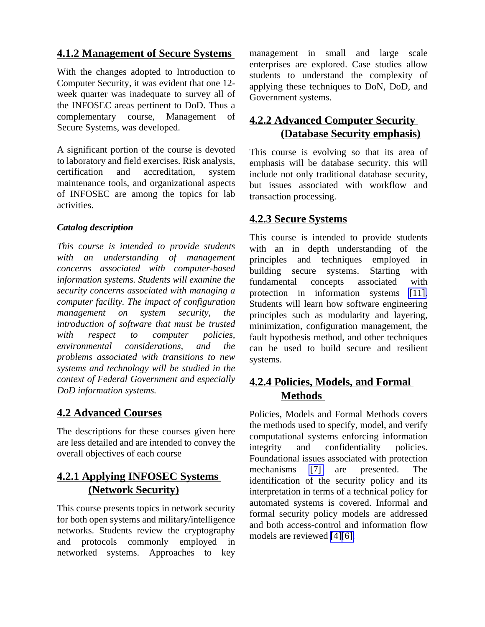## **4.1.2 Management of Secure Systems**

With the changes adopted to Introduction to Computer Security, it was evident that one 12 week quarter was inadequate to survey all of the INFOSEC areas pertinent to DoD. Thus a complementary course, Management of Secure Systems, was developed.

A significant portion of the course is devoted to laboratory and field exercises. Risk analysis, certification and accreditation, system maintenance tools, and organizational aspects of INFOSEC are among the topics for lab activities.

#### *Catalog description*

*This course is intended to provide students with an understanding of management concerns associated with computer-based information systems. Students will examine the security concerns associated with managing a computer facility. The impact of configuration management on system security, the introduction of software that must be trusted with respect to computer policies, environmental considerations, and the problems associated with transitions to new systems and technology will be studied in the context of Federal Government and especially DoD information systems.*

# **4.2 Advanced Courses**

The descriptions for these courses given here are less detailed and are intended to convey the overall objectives of each course

# **4.2.1 Applying INFOSEC Systems (Network Security)**

This course presents topics in network security for both open systems and military/intelligence networks. Students review the cryptography and protocols commonly employed in networked systems. Approaches to key management in small and large scale enterprises are explored. Case studies allow students to understand the complexity of applying these techniques to DoN, DoD, and Government systems.

# **4.2.2 Advanced Computer Security (Database Security emphasis)**

This course is evolving so that its area of emphasis will be database security. this will include not only traditional database security, but issues associated with workflow and transaction processing.

## **4.2.3 Secure Systems**

This course is intended to provide students with an in depth understanding of the principles and techniques employed in building secure systems. Starting with fundamental concepts associated with protection in information systems [\[11\].](#page-7-1) Students will learn how software engineering principles such as modularity and layering, minimization, configuration management, the fault hypothesis method, and other techniques can be used to build secure and resilient systems.

## **4.2.4 Policies, Models, and Formal Methods**

Policies, Models and Formal Methods covers the methods used to specify, model, and verify computational systems enforcing information integrity and confidentiality policies. Foundational issues associated with protection mechanisms [\[7\]](#page-7-1) are presented. The identification of the security policy and its interpretation in terms of a technical policy for automated systems is covered. Informal and formal security policy models are addressed and both access-control and information flow models are reviewed [\[4\]](#page-6-2)[\[6\].](#page-7-1)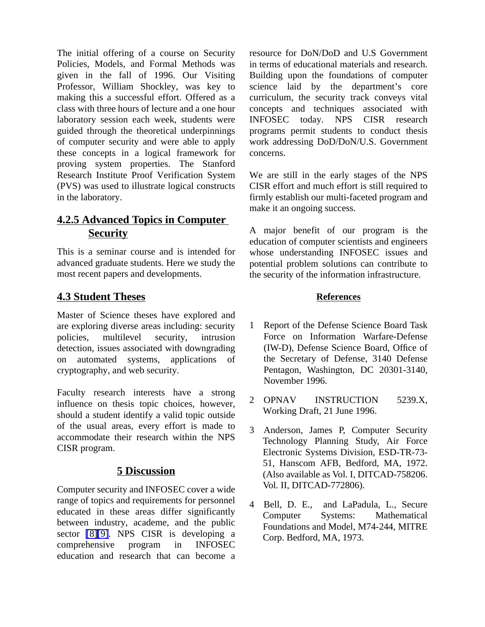<span id="page-6-2"></span><span id="page-6-1"></span><span id="page-6-0"></span>The initial offering of a course on Security Policies, Models, and Formal Methods was given in the fall of 1996. Our Visiting Professor, William Shockley, was key to making this a successful effort. Offered as a class with three hours of lecture and a one hour laboratory session each week, students were guided through the theoretical underpinnings of computer security and were able to apply these concepts in a logical framework for proving system properties. The Stanford Research Institute Proof Verification System (PVS) was used to illustrate logical constructs in the laboratory.

## **4.2.5 Advanced Topics in Computer Security**

This is a seminar course and is intended for advanced graduate students. Here we study the most recent papers and developments.

#### **4.3 Student Theses**

Master of Science theses have explored and are exploring diverse areas including: security policies, multilevel security, intrusion detection, issues associated with downgrading on automated systems, applications of cryptography, and web security.

Faculty research interests have a strong influence on thesis topic choices, however, should a student identify a valid topic outside of the usual areas, every effort is made to accommodate their research within the NPS CISR program.

#### **5 Discussion**

Computer security and INFOSEC cover a wide range of topics and requirements for personnel educated in these areas differ significantly between industry, academe, and the public sector [\[8\]\[9\].](#page-7-1) NPS CISR is developing a comprehensive program in INFOSEC education and research that can become a resource for DoN/DoD and U.S Government in terms of educational materials and research. Building upon the foundations of computer science laid by the department's core curriculum, the security track conveys vital concepts and techniques associated with INFOSEC today. NPS CISR research programs permit students to conduct thesis work addressing DoD/DoN/U.S. Government concerns.

We are still in the early stages of the NPS CISR effort and much effort is still required to firmly establish our multi-faceted program and make it an ongoing success.

A major benefit of our program is the education of computer scientists and engineers whose understanding INFOSEC issues and potential problem solutions can contribute to the security of the information infrastructure.

#### **References**

- 1 Report of the Defense Science Board Task Force on Information Warfare-Defense (IW-D), Defense Science Board, Office of the Secretary of Defense, 3140 Defense Pentagon, Washington, DC 20301-3140, November 1996.
- 2 OPNAV INSTRUCTION 5239.X, Working Draft, 21 June 1996.
- 3 Anderson, James P, Computer Security Technology Planning Study, Air Force Electronic Systems Division, ESD-TR-73- 51, Hanscom AFB, Bedford, MA, 1972. (Also available as Vol. I, DITCAD-758206. Vol. II, DITCAD-772806).
- 4 Bell, D. E., and LaPadula, L., Secure Computer Systems: Mathematical Foundations and Model, M74-244, MITRE Corp. Bedford, MA, 1973.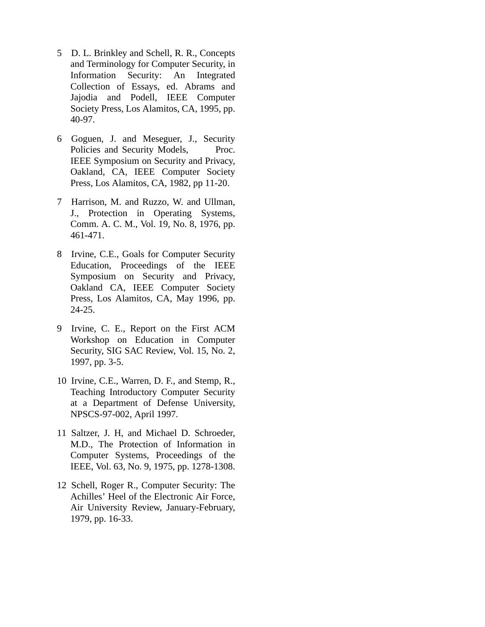- <span id="page-7-1"></span><span id="page-7-0"></span>5 D. L. Brinkley and Schell, R. R., Concepts and Terminology for Computer Security, in Information Security: An Integrated Collection of Essays, ed. Abrams and Jajodia and Podell, IEEE Computer Society Press, Los Alamitos, CA, 1995, pp. 40-97.
- 6 Goguen, J. and Meseguer, J., Security Policies and Security Models, Proc. IEEE Symposium on Security and Privacy, Oakland, CA, IEEE Computer Society Press, Los Alamitos, CA, 1982, pp 11-20.
- 7 Harrison, M. and Ruzzo, W. and Ullman, J., Protection in Operating Systems, Comm. A. C. M., Vol. 19, No. 8, 1976, pp. 461-471.
- 8 Irvine, C.E., Goals for Computer Security Education, Proceedings of the IEEE Symposium on Security and Privacy, Oakland CA, IEEE Computer Society Press, Los Alamitos, CA, May 1996, pp. 24-25.
- 9 Irvine, C. E., Report on the First ACM Workshop on Education in Computer Security, SIG SAC Review, Vol. 15, No. 2, 1997, pp. 3-5.
- 10 Irvine, C.E., Warren, D. F., and Stemp, R., Teaching Introductory Computer Security at a Department of Defense University, NPSCS-97-002, April 1997.
- 11 Saltzer, J. H, and Michael D. Schroeder, M.D., The Protection of Information in Computer Systems, Proceedings of the IEEE, Vol. 63, No. 9, 1975, pp. 1278-1308.
- 12 Schell, Roger R., Computer Security: The Achilles' Heel of the Electronic Air Force, Air University Review, January-February, 1979, pp. 16-33.